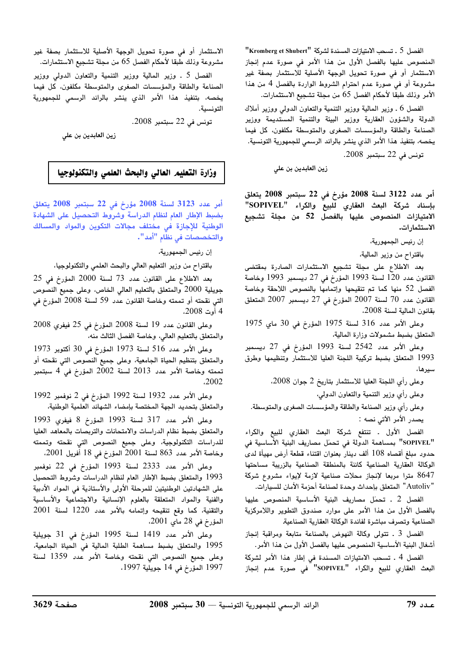"الفصل 5 ـ تسحب الامتيازات المسندة لشركة "Kromberg et Shubert" المنصوص عليها بالفصل الأول من هذا الأمر في صورة عدم إنجاز الاستثمار أو في صورة تحويل الوجهة الأصلية للاستثمار بصفة غير مشروعة أو في صورة عدم احترام الشروط الواردة بالفصل 4 من هذا الأمر وذلك طبقا لأحكام الفصل 65 من مجلة تشجيع الاستثمارات.

الفصل 6 ـ وزير المالية ووزير التنمية والتعاون الدولي ووزير أملاك الدولة والشؤون العقارية ووزير البيئة والتنمية المستديمة ووزير الصناعة والطاقة والمؤسسات الصغرى والمتوسطة مكلفون، كل فيما يخصه، بتنفيذ هذا الأمر الذي ينشر بالرائد الرسمي للجمهورية التونسية.

تونس في 22 سبتمبر 2008.

زين العابدين بن على

أمر عدد 3122 لسنة 2008 مؤرخ في 22 سبتمبر 2008 يتعلق بإسناد شركة البعث العقاري للبيع والكراء "SOPIVEL" الامتيازات المنصوص عليها بالفصل 52 من مجلة تشجيع الاستثمارات.

إن رئيس الجمهورية،

باقتراح من وزير المالية،

بعد الاطلاع على مجلة تشجيع الاستثمارات الصادرة بمقتضى القانون عدد 120 لسنة 1993 المؤرخ في 27 ديسمبر 1993 وخاصة الفصل 52 منها كما تم تنقيحها وإتمامها بالنصوص اللاحقة وخاصة القانون عدد 70 لسنة 2007 المؤرخ في 27 ديسمبر 2007 المتعلق بقانون المالية لسنة 2008.

وعلى الأمر عدد 316 لسنة 1975 المؤرخ في 30 ماي 1975 المتعلق بضبط مشمولات وزارة المالية،

وعلى الأمر عدد 2542 لسنة 1993 المؤرخ في 27 ديسمبر 1993 المتعلق بضبط تركيبة اللجنة العليا للاستثمار وتنظيمها وطرق سير ها،

وعلى رأى اللجنة العليا للاستثمار بتاريخ 2 جوان 2008.

وعلى رأي وزير التنمية والتعاون الدولي،

وعلى رأي وزير الصناعة والطاقة والمؤسسات الصغرى والمتوسطة. يصدر الأمر الآتي نصه :

الفصل الأول . تنتفع شركة البعث العقاري للبيع والكراء "SOPIVEL" بمساهمة الدولة في تحمّل مصاريف البنية الأساسية في حدود مبلغ أقصاه 108 ألف دينار بعنوان اقتناء قطعة أرض مهيأة لدى الوكالة العقارية الصناعية كائنة بالمنطقة الصناعية بالزريبة مساحتها 8647 مترا مربعا لإنجاز محلات صناعية لازمة لإيواء مشروع شركة "Autoliv" المتعلق بإحداث وحدة لصناعة أحزمة الأمان للسيارات.

الفصل 2 ـ تحمّل مصاريف البنية الأساسية المنصوص عليها بالفصل الأول من هذا الأمر على موارد صندوق التطوير واللامركزية الصناعية وتصرف مباشرة لفائدة الوكالة العقارية الصناعية

الفصل 3 ـ تتولى وكالة النهوض بالصناعة متابعة ومراقبة إنجاز أشغال البنية الأساسية المنصوص عليها بالفصل الأول من هذا الأمر.

الفصل 4 . تسحب الامتيازات المسندة في إطار هذا الأمر لشركة البعث العقاري للبيع والكراء "SOPIVEL" في صورة عدم إنجاز

الاستثمار أو في صورة تحويل الوجهة الأصلية للاستثمار بصفة غير مشروعة وذلك طبقا لأحكام الفصل 65 من مجلة تشجيع الاستثمارات.

الفصل 5 ـ وزير المالية ووزير التنمية والتعاون الدولى ووزير الصناعة والطاقة والمؤسسات الصغرى والمتوسطة مكلفون، كل فيما يخصه، بتنفيذ هذا الأمر الذي ينشر بالرائد الرسمي للجمهورية التونسية.

تونس في 22 سبتمبر 2008.

زين العابدين بن على

وزارة التعليم العالى والبحث العلمى والتكنولوجيا

أمر عدد 3123 لسنة 2008 مؤرخ في 22 سبتمبر 2008 يتعلق بضبط الإطار العام لنظام الدراسة وشروط التحصيل على الشهادة الوطنية للإجازة فى مختلف مجالات التكوين والمواد والمسالك والتخصصات فى نظام "أمد".

إن رئيس الجمهورية،

باقتراح من وزير التعليم العالي والبحث العلمي والتكنولوجيا،

بعد الاطلاع على القانون عدد 73 لسنة 2000 المؤرخ في 25 جويلية 2000 والمتعلق بالتعليم العالي الخاص، وعلى جميع النصوص التي نقحته أو تممته وخاصة القانون عدد 59 لسنة 2008 المؤرخ في 4 أوت 2008،

وعلى القانون عدد 19 لسنة 2008 المؤرخ في 25 فيفري 2008 والمتعلق بالتعليم العالى، وخاصة الفصل الثالث منه،

وعلى الأمر عدد 516 لسنة 1973 المؤرخ في 30 أكتوبر 1973 والمتعلق بتنظيم الحياة الجامعية، وعلى جميع النصوص التي نقحته أو تممته وخاصة الأمر عدد 2013 لسنة 2002 المؤرخ في 4 سبتمبر .2002

وعلى الأمر عدد 1932 لسنة 1992 المؤرخ في 2 نوفمبر 1992 والمتعلق بتحديد الجهة المختصة بإمضاء الشهائد العلمية الوطنية،

وعلى الأمر عدد 317 لسنة 1993 المؤرخ 8 فيفرى 1993 والمتعلق بضبط نظام الدراسات والامتحانات والتربصات بالمعاهد العليا للدراسات التكنولوجية، وعلى جميع النصوص التي نقحته وتممته وخاصة الأمر عدد 863 لسنة 2001 المؤرخ في 18 أُفريل 2001.

وعلى الأمر عدد 2333 لسنة 1993 المؤرخ فى 22 نوفمبر 1993 والمتعلق بضبط الإطار العام لنظام الدراسات وشروط التحصيل على الشهادتين الوطنيتين للمرحلة الأولى والأستاذية فى المواد الأدبية والفنية والمواد المتعلقة بالعلوم الإنسانية والاجتماعية والأساسية والتقنية، كما وقع تنقيحه وإتمامه بالأمر عدد 1220 لسنة 2001 المؤرخ في 28 ماي 2001.

وعلى الأمر عدد 1419 لسنة 1995 المؤرخ في 31 جويلية 1995 والمتعلق بضبط مساهمة الطلبة المالية فى الحياة الجامعية، وعلى جميع النصوص التي نقحته وخاصة الأمر عدد 1359 لسنة 1997 المؤرخ في 14 جويلية 1997،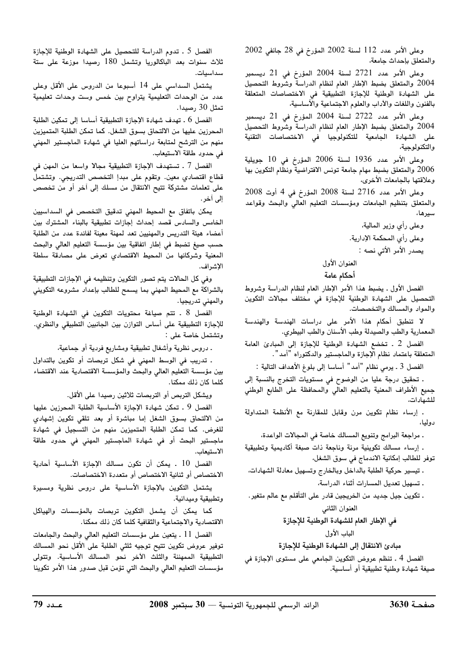وعلى الأمر عدد 112 لسنة 2002 المؤرخ في 28 جانفي 2002 والمتعلق بإحداث جامعة،

وعلى الأمر عدد 2721 لسنة 2004 المؤرخ فى 21 ديسمبر 2004 والمتعلق بضبط الإطار العام لنظام الدراسة وشروط التحصيل على الشهادة الوطنية للإجازة التطبيقية في الاختصاصات المتعلقة بالفنون واللغات والأداب والعلوم الاجتماعية والأساسية،

وعلى الأمر عدد 2722 لسنة 2004 المؤرخ في 21 ديسمبر 2004 والمتعلق بضبط الإطار العام لنظام الدراسة وشروط التحصيل على الشهادة الجامعية للتكنولوجيا في الاختصاصات التقنية والتكنولوجية،

وعلى الأمر عدد 1936 لسنة 2006 المؤرخ في 10 جويلية 2006 والمتعلق بضبط مهام جامعة تونس الافتراضية ونظام التكوين بها وعلاقتها بالجامعات الأخرى،

وعلى الأمر عدد 2716 لسنة 2008 المؤرخ في 4 أوت 2008 والمتعلق بتنظيم الجامعات ومؤسسات التعليم العالي والبحث وقواعد سيرها،

> وعلى رأى وزير المالية، وعلى رأى المحكمة الإدارية. يصدر الأمر الأتي نصه :

# العنوان الأول

### أحكام عامة

الفصل الأول ـ يضبط هذا الأمر الإطار العام لنظام الدراسة وشروط التحصيل على الشهادة الوطنية للإجازة في مختلف مجالات التكوين والمواد والمسالك والتخصصات.

لا تنطبق أحكام هذا الأمر على دراسات الهندسة والهندسة المعمارية والطب والصيدلة وطب الأسنان والطب البيطري.

الفصل 2 . تخضع الشهادة الوطنية للإجازة إلى المبادئ العامة المتعلقة باعتماد نظام الإجازة والماجستير والدكتوراه "أمد".

الفصل 3 ـ يرمي نظام "أمد" أساسا إلى بلوغ الأهداف التالية :

. تحقيق درجة عليا من الوضوح في مستويات التخرج بالنسبة إلى جميع الأطراف المعنية بالتعليم العالي والمحافظة على الطابع الوطني للشهادات،

. إرساء نظام تكوين مرن وقابل للمقارنة مع الأنظمة المتداولة دوليا،

. مراجعة البرامج وتنويع المسالك خاصة في المجالات الواعدة،

. إرساء مسالك تكوينية مرنة وناجعة ذات صبغة أكاديمية وتطبيقية توفر للطالب إمكانية الاندماج في سوق الشغل،

. تيسير حركية الطلبة بالداخل وبالخارج وتسهيل معادلة الشهادات، . تسهيل تعديل المسارات أثناء الدراسة،

ـ تكوين جيل جديد من الخريجين قادر على التأقلم مع عالم متغير. العنوان الثاني

في الإطار العام للشهادة الوطنية للإجازة

الباب الأول

# مبادئ الانتقال إلى الشهادة الوطنية للإجازة

الفصل 4 ـ تنظم عروض التكوين الجامعي على مستوى الإجازة في صيغة شهادة وطنية تطبيقية أو أساسية.

الفصل 5 . تدوم الدراسة للتحصيل على الشهادة الوطنية للإجازة ثلاث سنوات بعد الباكالوريا وتشمل 180 رصيدا موزعة على ستة سداسيات.

يشتمل السداسي على 14 أسبوعا من الدروس على الأقل وعلى عدد من الوحدات التعليمية يتراوح بين خمس وست وحدات تعليمية تمثل 30 رصيدا.

الفصل 6 . تهدف شهادة الإجازة التطبيقية أساسا إلى تمكين الطلبة المحرزين عليها من الالتحاق بسوق الشغل. كما تمكن الطلبة المتميزين منهم من الترشح لمتابعة دراساتهم العليا في شهادة الماجستير المهنى في حدود طاقة الاستيعاب.

الفصل 7 ـ تستهدف الإجازة التطبيقية مجالا واسعا من المهن في قطاع اقتصادي معين. وتقوم على مبدإ التخصص التدريجي. وتشتمل على تعلمات مشتركة تتيح الانتقال من مسلك إلى آخر أو من تخصص إلى آخر.

يمكن باتفاق مع المحيط المهني تدقيق التخصص في السداسيين الخامس والسادس قصد إحداث إجازات تطبيقية بالبناء المشترك بين أعضاء هيئة التدريس والمهنيين تعد لمهنة معينة لفائدة عدد من الطلبة حسب صيغ تضبط في إطار اتفاقية بين مؤسسة التعليم العالى والبحث المعنية وشركائها من المحيط الاقتصادي تعرض على مصادقة سلطة الإشراف.

وفي كل الحالات يتم تصور التكوين وتنظيمه في الإجازات التطبيقية بالشراكة مع المحيط المهني بما يسمح للطالب بإعداد مشروعه التكويني والمهنى تدريجيا.

الفصل 8 . تتم صياغة محتويات التكوين في الشهادة الوطنية للإجازة التطبيقية على أساس التوازن بين الجانبين التطبيقي والنظري. وتشتمل خاصة على :

. دروس نظرية وأشغال تطبيقية ومشاريع فردية أو جماعية،

. تدريب في الوسط المهني في شكل تربصات أو تكوين بالتداول بين مؤسسة التعليم العالى والبحث والمؤسسة الاقتصادية عند الاقتضاء كلما كان ذلك ممكنا.

ويشكل التربص أو التربصات ثلاثين رصيدا على الأقل.

الفصل 9 . تمكن شهادة الإجازة الأساسية الطلبة المحرزين عليها من الالتحاق بسوق الشغل إما مباشرة أو بعد تلقى تكوين إشهادى للغرض. كما تمكن الطلبة المتميزين منهم من التسجيل في شهادة ماجستير البحث أو في شهادة الماجستير المهني في حدود طاقة الاستىعاب.

الفصل 10 . يمكن أن تكون مسالك الإجازة الأساسية أحادية الاختصاص أو ثنائية الاختصاص أو متعددة الاختصاصات.

يشتمل التكوين بالإجازة الأساسية على دروس نظرية ومسيرة وتطبيقية وميدانية.

كما يمكن أن يشمل التكوين تربصات بالمؤسسات والهياكل الاقتصادية والاجتماعية والثقافية كلما كان ذلك ممكنا.

الفصل 11 ـ يتعين على مؤسسات التعليم العالى والبحث والجامعات توفير عروض تكوين تتيح توجيه ثلثى الطلبة على الأقل نحو المسالك التطبيقية الممهننة والثلث الآخر نحو المسالك الأساسية. وتتولى مؤسسات التعليم العالي والبحث التي تؤمن قبل صدور هذا الأمر تكوينا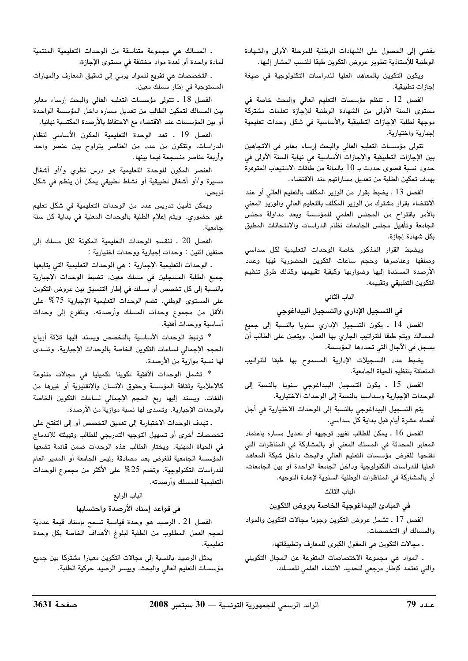يفضى إلى الحصول على الشهادات الوطنية للمرحلة الأولى والشهادة الوطنية للأستاذية تطوير عروض التكوين طبقا للنسب المشار إليها.

ويكون التكوين بالمعاهد العليا للدراسات التكنولوجية في صيغة إجازات تطبيقية.

الفصل 12 . تنظم مؤسسات التعليم العالي والبحث خاصة في مستوى السنة الأولى من الشهادة الوطنية للإجازة تعلمات مشتركة موجهة لطلبة الإجازات التطبيقية والأساسية في شكل وحدات تعليمية إجبارية واختيارية.

تتولى مؤسسات التعليم العالى والبحث إرساء معابر فى الاتجاهين بين الإجازات التطبيقية والإجازات الأساسية في نهاية السنة الأولى في حدود نسبة قصوى حددت بـ 10 بالمائة من طاقات الاستيعاب المتوفرة بهدف تمكين الطلبة من تعديل مساراتهم عند الاقتضاء.

الفصل 13 ـ يضبط بقرار من الوزير المكلف بالتعليم العالي أو عند الاقتضاء بقرار مشترك من الوزير المكلف بالتعليم العالى والوزير المعنى بالأمر باقتراح من المجلس العلمي للمؤسسة وبعد مداولة مجلس الجامعة وتأهيل مجلس الجامعات نظام الدراسات والامتحانات المطبق ىكل شهادة إحازة.

ويضبط القرار المذكور خاصة الوحدات التعليمية لكل سداسى وصنفها وعناصرها وحجم ساعات التكوين الحضورية فيها وعدد الأرصدة المسندة إليها وضواربها وكيفية تقييمها وكذلك طرق تنظيم التكوين التطبيقي وتقييمه.

#### الباب الثاني

#### فى التسجيل الإداري والتسجيل البيداغوجى

الفصل 14 . يكون التسجيل الإداري سنويا بالنسبة إلى جميع المسالك ويتم طبقا للتراتيب الجاري بها العمل. ويتعين على الطالب أن يسجل في الآجال التي تحددها المؤسسة.

يضبط عدد التسجيلات الإدارية المسموح بها طبقا للتراتيب المتعلقة بتنظيم الحياة الجامعية.

الفصل 15 . يكون التسجيل البيداغوجي سنويا بالنسبة إلى الوحدات الإجبارية وسداسيا بالنسبة إلى الوحدات الاختيارية.

يتم التسجيل البيداغوجي بالنسبة إلى الوحدات الاختيارية في أجل أقصاه عشرة أيام قبل بداية كل سداسي.

الفصل 16 . يمكن للطالب تغيير توجيهه أو تعديل مساره باعتماد المعابر المحدثة في المسلك المعني أو بالمشاركة في المناظرات التي تفتحها للغرض مؤسسات التعليم العالى والبحث داخل شبكة المعاهد العليا للدراسات التكنولوجية وداخل الجامعة الواحدة أو بين الجامعات، أو بالمشاركة في المناظرات الوطنية السنوية لإعادة التوجيه.

#### الباب الثالث

#### فى المبادئ البيداغوجية الخاصة بعروض التكوين

الفصل 17 ـ تشمل عروض التكوين وجوبا مجالات التكوين والمواد والمسالك أو التخصصات.

. مجالات التكوين هي الحقول الكبرى للمعارف وتطبيقاتها،

. المواد هي مجموعة الاختصاصات المتفرعة عن المجال التكويني والتي تعتمد كإطار مرجعي لتحديد الانتماء العلمي للمسلك،

. المسالك هي مجموعة متناسقة من الوحدات التعليمية المنتمية لمادة واحدة أو لعدة مواد مختلفة في مستوى الإجازة،

. التخصصات هي تفريع للمواد يرمي إلى تدقيق المعارف والمهارات المستوجبة في إطار مسلك معين.

الفصل 18 ـ تتولى مؤسسات التعليم العالى والبحث إرساء معابر بين المسالك لتمكين الطالب من تعديل مساره داخل المؤسسة الواحدة أو بين المؤسسات عند الاقتضاء مع الاحتفاظ بالأرصدة المكتسبة نهائيا.

الفصل 19 . تعد الوحدة التعليمية المكون الأساسى لنظام الدراسات. وتتكون من عدد من العناصر يتراوح بين عنصر واحد وأربعة عناصر منسجمة فيما بينها.

العنصر المكون للوحدة التعليمية هو درس نظرى و/أو أشغال مسيرة و/أو أشغال تطبيقية أو نشاط تطبيقي يمكن أن ينظم في شكل تربص.

ويمكن تأمين تدريس عدد من الوحدات التعليمية في شكل تعليم غير حضوري. ويتم إعلام الطلبة بالوحدات المعنية في بداية كل سنة جامعية.

الفصل 20 . تنقسم الوحدات التعليمية المكونة لكل مسلك إلى صنفين اثنين : وحدات إجبارية ووحدات اختيارية :

. الوحدات التعليمية الإجبارية : هي الوحدات التعليمية التي يتابعها جميع الطلبة المسجلين فى مسلك معين. تضبط الوحدات الإجبارية بالنسبة إلى كل تخصص أو مسلك في إطار التنسيق بين عروض التكوين على المستوى الوطني. تضم الوحدات التعليمية الإجبارية 75% على الأقل من مجموع وحدات المسلك وأرصدته. وتتفرع إلى وحدات أساسية ووحدات أفقية.

\* ترتبط الوحدات الأساسية بالتخصص ويسند إليها ثلاثة أرباع الحجم الإجمالي لساعات التكوين الخاصة بالوحدات الإجبارية. وتسدى لها نسبة موازية من الأرصدة.

\* تشمل الوحدات الأفقية تكوينا تكميليا فى مجالات متنوعة كالإعلامية وثقافة المؤسسة وحقوق الإنسان والإنقليزية أو غيرها من اللغات. ويسند إليها ربع الحجم الإجمالى لساعات التكوين الخاصة بالوحدات الإجبارية. وتسدى لها نسبة موازية من الأرصدة.

. تهدف الوحدات الاختيارية إلى تعميق التخصص أو إلى التفتح على تخصصات أخرى أو تسهيل التوجيه التدريجي للطالب وتهيئته للاندماج فى الحياة المهنية. ويختار الطالب هذه الوحدات ضمن قائمة تضعها المؤسسة الجامعية للغرض بعد مصادقة رئيس الجامعة أو المدير العام للدراسات التكنولوجية. وتضم 25% على الأكثر من مجموع الوحدات التعليمية للمسلك وأرصدته.

### الباب الرابع

#### في قواعد إسناد الأرصدة واحتسابها

الفصل 21 ـ الرصيد هو وحدة قياسية تسمح بإسناد قيمة عددية لحجم العمل المطلوب من الطلبة لبلوغ الأهداف الخاصة بكل وحدة تعلىمية.

يمثل الرصيد بالنسبة إلى مجالات التكوين معيارا مشتركا بين جميع مؤسسات التعليم العالي والبحث. وييسر الرصيد حركية الطلبة.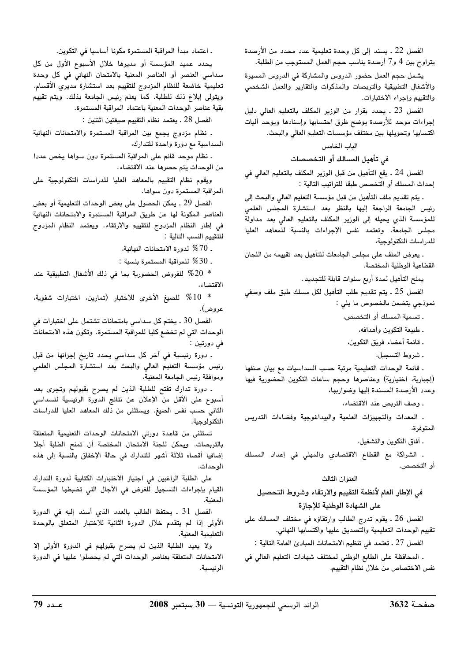الفصل 22 ـ يسند إلى كل وحدة تعليمية عدد محدد من الأرصدة يتراوح بين 4 و7 أرصدة يناسب حجم العمل المستوجب من الطلبة.

يشمل حجم العمل حضور الدروس والمشاركة في الدروس المسيرة والأشغال التطبيقية والتربصات والمذكرات والتقارير والعمل الشخصي والتقييم وإجراء الاختبارات.

الفصل 23 ـ يحدد بقرار من الوزير المكلف بالتعليم العالى دليل إجراءات موحد للأرصدة يوضح طرق احتسابها وإسنادها ويوحد أليات اكتسابها وتحويلها بين مختلف مؤسسات التعليم العالى والبحث.

## الباب الخامس

فى تأهيل المسالك أو التخصصات

الفصل 24 ـ يقع التأهيل من قبل الوزير المكلف بالتعليم العالي في إحداث المسلك أو التخصص طبقا للتراتيب التالية :

. يتم تقديم ملف التأهيل من قبل مؤسسة التعليم العالي والبحث إلى رئيس الجامعة الراجعة إليها بالنظر بعد استشارة المجلس العلمى للمؤسسة الذى يحيله إلى الوزير المكلف بالتعليم العالي بعد مداولة مجلس الجامعة. وتعتمد نفس الإجراءات بالنسبة للمعاهد العليا للدراسات التكنولوجية،

. يعرض الملف على مجلس الجامعات للتأهيل بعد تقييمه من اللجان القطاعية الوطنية المختصة.

يمنح التأهيل لمدة أربع سنوات قابلة للتجديد .

الفصل 25 . يتم تقديم طلب التأهيل لكل مسلك طبق ملف وصفي نموذجي يتضمن بالخصوص ما يلي :

. تسمية المسلك أو التخصص،

. طبيعة التكوين وأهدافه،

ـ قائمة أعضاء فريق التكوين،

. شروط التسجيل،

. قائمة الوحدات التعليمية مرتبة حسب السداسيات مع بيان صنفها (إجبارية، اختيارية) وعناصرها وحجم ساعات التكوين الحضورية فيها وعدد الأرصدة المسندة إليها وضواربها،

. وصف التربص عند الاقتضاء،

. المعدات والتجهيزات العلمية والبيداغوجية وفضاءات التدريس المتوفرة،

. أفاق التكوين والتشغيل،

. الشراكة مع القطاع الاقتصادي والمهنى فى إعداد المسلك أو التخصص.

## العنوان الثالث

# فى الإطار العام لأنظمة التقييم والارتقاء وشروط التحصيل على الشهادة الوطنية للإجازة

الفصل 26 ـ يقوم تدرج الطالب وارتقاؤه في مختلف المسالك على تقييم الوحدات التعليمية والتصديق عليها واكتسابها النهائى.

الفصل 27 ـ تعتمد في تنظيم الامتحانات المبادئ العامة التالية :

. المحافظة على الطابع الوطني لمختلف شهادات التعليم العالي في نفس الاختصاص من خلال نظام التقييم،

. اعتماد مبدأ المراقبة المستمرة مكونا أساسيا في التكوين.

يحدد عميد المؤسسة أو مديرها خلال الأسبوع الأول من كل سداسي العنصر أو العناصر المعنية بالامتحان النهائي في كل وحدة تعليمية خاضعة للنظام المزدوج للتقييم بعد استشارة مديري الأقسام. ويتولى إبلاغ ذلك للطلبة. كما يعلم رئيس الجامعة بذلك. ويتم تقييم بقية عناصر الوحدات المعنية باعتماد المراقبة المستمرة.

الفصل 28 . يعتمد نظام التقييم صيغتين اثنتين :

. نظام مزدوج يجمع بين المراقبة المستمرة والامتحانات النهائية السداسية مع دورة واحدة للتدارك،

. نظام موحد قائم على المراقبة المستمرة دون سواها يخص عددا من الوحدات يتم حصرها عند الاقتضاء.

ويقوم نظام التقييم بالمعاهد العليا للدراسات التكنولوجية على المراقبة المستمرة دون سواها.

الفصل 29 ـ يمكن الحصول على بعض الوحدات التعليمية أو بعض العناصر المكونة لها عن طريق المراقبة المستمرة والامتحانات النهائية في إطار النظام المزدوج للتقييم والارتقاء. ويعتمد النظام المزدوج للتقييم النسب التالية :

. 70% لدورة الامتحانات النهائية،

. 30% للمراقبة المستمرة بنسبة :  $\%30$ 

للفروض الحضورية بما في ذلك الأشغال التطبيقية عند  $\%20$ الاقتضاء،

للصيغ الأخرى للاختبار (تمارين، اختبارات شفوية،  $\%10$ عروض).

الفصل 30 . يختم كل سداسي بامتحانات تشتمل على اختبارات فى الوحدات التي لم تخضع كليا للمراقبة المستمرة. وتكون هذه الامتحانات فی دورتین :

۔ دورة رئيسية في آخر كل سداسي يحدد تاريخ إجرائها من قبل رئيس مؤسسة التعليم العالى والبحث بعد استشارة المجلس العلمى وموافقة رئيس الجامعة المعنية،

. دورة تدارك تفتح للطلبة الذين لم يصرح بقبولهم وتجرى بعد أسبوع على الأقل من الإعلان عن نتائج الدورة الرئيسية للسداسي الثاني حسب نفس الصيغ. ويستثنى من ذلك المعاهد العليا للدراسات التكنولوجية.

تستثنى من قاعدة دورتى الامتحانات الوحدات التعليمية المتعلقة بالتربصات. ويمكن للجنة الامتحان المختصة أن تمنح الطلبة أجلا إضافيا أقصاه ثلاثة أشهر للتدارك في حالة الإخفاق بالنسبة إلى هذه الوحدات.

على الطلبة الراغبين في اجتياز الاختبارات الكتابية لدورة التدارك القيام بإجراءات التسجيل للغرض في الآجال التي تضبطها المؤسسة المعنية.

الفصل 31 . يحتفظ الطالب بالعدد الذي أسند إليه في الدورة الأولى إذا لم يتقدم خلال الدورة الثانية للاختبار المتعلق بالوحدة التعليمية المعنية.

ولا يعيد الطلبة الذين لم يصرح بقبولهم في الدورة الأولى إلا الامتحانات المتعلقة بعناصر الوحدات التي لم يحصلوا عليها في الدورة الرئيسية.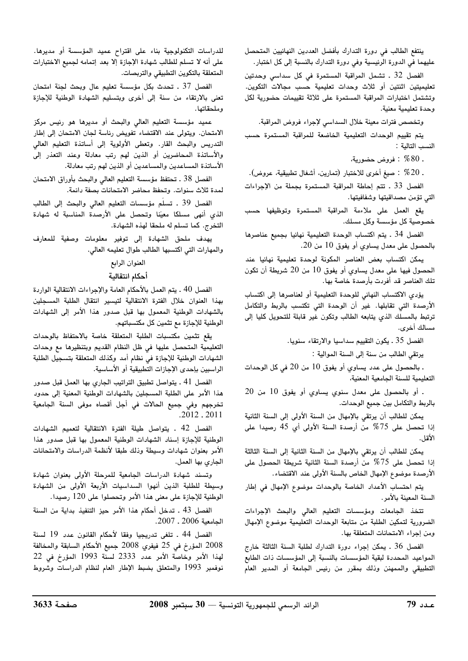ينتفع الطالب في دورة التدارك بأفضل العددين النهائيين المتحصل عليهما في الدورة الرئيسية وفي دورة التدارك بالنسبة إلى كل اختبار.

الفصل 32 . تشمل المراقبة المستمرة في كل سداسى وحدتين تعليميتين اثنتين أو ثلاث وحدات تعليمية حسب مجالات التكوين. وتشتمل اختبارات المراقبة المستمرة على ثلاثة تقييمات حضورية لكل وحدة تعليمية معنية.

وتخصص فترات معينة خلال السداسي لإجراء فروض المراقبة.

يتم تقييم الوحدات التعليمية الخاضعة للمراقبة المستمرة حسب النسب التالية :

. 80% : فروض حضورية،

. 20% : صيغ أخرى للاختبار (تمارين، أشغال تطبيقية، عروض).

الفصل 33 . تتم إحاطة المراقبة المستمرة بجملة من الإجراءات التي تؤمن مصداقيتها وشفافيتها.

يقع العمل على ملاءمة المراقبة المستمرة وتوظيفها حسب خصوصية كل مؤسسة وكل مسلك.

الفصل 34 . يتم اكتساب الوحدة التعليمية نهائيا بجميع عناصرها بالحصول على معدل يساوى أو يفوق 10 من 20.

يمكن اكتساب بعض العناصر المكونة لوحدة تعليمية نهائيا عند الحصول فيها على معدل يساوي أو يفوق 10 من 20 شريطة أن تكون تلك العناصر قد أفردت بأرصدة خاصة بها.

يؤدي الاكتساب النهائي للوحدة التعليمية أو لعناصرها إلى اكتساب الأرصدة التي تقابلها. غير أن الوحدة التي تكتسب بالربط والتكامل ترتبط بالمسلك الذي يتابعه الطالب وتكون غير قابلة للتحويل كليا إلى مسالك أخرى.

الفصل 35 ـ يكون التقييم سداسيا والارتقاء سنويا.

يرتقى الطالب من سنة إلى السنة الموالية :

. بالحصول على عدد يساوي أو يفوق 10 من 20 في كل الوحدات التعليمية للسنة الجامعية المعنية،

. أو بالحصول على معدل سنوي يساوي أو يفوق 10 من 20 بالربط والتكامل بين جميع الوحدات.

يمكن للطالب أن يرتقى بالإمهال من السنة الأولى إلى السنة الثانية إذا تحصل على 75% من أرصدة السنة الأولى أي 45 رصيدا على الأقل.

يمكن للطالب أن يرتقى بالإمهال من السنة الثانية إلى السنة الثالثة إذا تحصل على 75% من أرصدة السنة الثانية شريطة الحصول على الأرصدة موضوع الإمهال الخاص بالسنة الأولى عند الاقتضاء.

يتم احتساب الأعداد الخاصة بالوحدات موضوع الإمهال في إطار السنة المعينة بالأمر.

تتخذ الجامعات ومؤسسات التعليم العالى والبحث الإجراءات الضرورية لتمكين الطلبة من متابعة الوحدات التعليمية موضوع الإمهال ومن إجراء الامتحانات المتعلقة بها.

الفصل 36 . يمكن إجراء دورة التدارك لطلبة السنة الثالثة خارج المواعيد المحددة لبقية المؤسسات بالنسبة إلى المؤسسات ذات الطابع التطبيقي والممهنن وذلك بمقرر من رئيس الجامعة أو المدير العام

للدراسات التكنولوجية بناء على اقتراح عميد المؤسسة أو مديرها. على أنه لا تسلم للطالب شهادة الإجازة إلا بعد إتمامه لجميع الاختبارات المتعلقة بالتكوين التطبيقي والتربصات.

الفصل 37 . تحدث بكل مؤسسة تعليم عال وبحث لجنة امتحان تعنى بالارتقاء من سنة إلى أخرى وبتسليم الشهادة الوطنية للإجازة و ملحقاتها .

عميد مؤسسة التعليم العالي والبحث أو مديرها هو رئيس مركز الامتحان. ويتولى عند الاقتضاء تفويض رئاسة لجان الامتحان إلى إطار التدريس والبحث القار. وتعطى الأولوية إلى أساتذة التعليم العالى والأساتذة المحاضرين أو الذين لهم رتب معادلة وعند التعذر إلى الأساتذة المساعدين والمساعدين أو الذين لهم رتب معادلة.

الفصل 38 . تحتفظ مؤسسة التعليم العالى والبحث بأوراق الامتحان لمدة ثلاث سنوات. وتحفظ محاضر الامتحانات بصفة دائمة.

الفصل 39 . تسلَّم مؤسسات التعليم العالي والبحث إلى الطالب الذي أنهى مسلكا معيّنا وتحصل على الأرصدة المناسبة له شهادة التخرج. كما تسلم له ملحقا لهذه الشهادة.

يهدف ملحق الشهادة إلى توفير معلومات وصفية للمعارف والمهارات التي اكتسبها الطالب طوال تعليمه العالي.

## العنوان الرابع أحكام انتقالية

الفصل 40 ـ يتم العمل بالأحكام العامة والإجراءات الانتقالية الواردة بهذا العنوان خلال الفترة الانتقالية لتيسير انتقال الطلبة المسجلين بالشهادات الوطنية المعمول بها قبل صدور هذا الأمر إلى الشهادات الوطنية للإجازة مع تثمين كل مكتسباتهم.

يقع تثمين مكتسبات الطلبة المتعلقة خاصة بالاحتفاظ بالوحدات التعليمية المتحصل عليها في ظل النظام القديم وبتنظيرها مع وحدات الشهادات الوطنية للإجازة في نظام أمد وكذلك المتعلقة بتسجيل الطلبة الراسبين بإحدى الإجازات التطبيقية أو الأساسية.

الفصل 41 . يتواصل تطبيق التراتيب الجاري بها العمل قبل صدور هذا الأمر على الطلبة المسجلين بالشهادات الوطنية المعنية إلى حدود تخرجهم وفي جميع الحالات في أجل أقصاه موفى السنة الجامعية  $.2012$ ,  $.2011$ 

الفصل 42 . يتواصل طيلة الفترة الانتقالية لتعميم الشهادات الوطنية للإجازة إسناد الشهادات الوطنية المعمول بها قبل صدور هذا الأمر بعنوان شهادات وسيطة وذلك طبقا لأنظمة الدراسات والامتحانات الجاري بها العمل.

وتسند شهادة الدراسات الجامعية للمرحلة الأولى بعنوان شهادة وسيطة للطلبة الذين أنهوا السداسيات الأربعة الأولى من الشهادة الوطنية للإجازة على معنى هذا الأمر وتحصلوا على 120 رصيدا.

الفصل 43 ـ تدخل أحكام هذا الأمر حيز التنفيذ بداية من السنة الحامعية 2006 . 2007.

الفصل 44 . تلغى تدريجيا وفقا لأحكام القانون عدد 19 لسنة 2008 المؤرخ في 25 فيفري 2008 جميع الأحكام السابقة والمخالفة لهذا الأمر وخاصة الأمر عدد 2333 لسنّة 1993 المؤرخ في 22 نوفمبر 1993 والمتعلق بضبط الإطار العام لنظام الدراسات وشروط